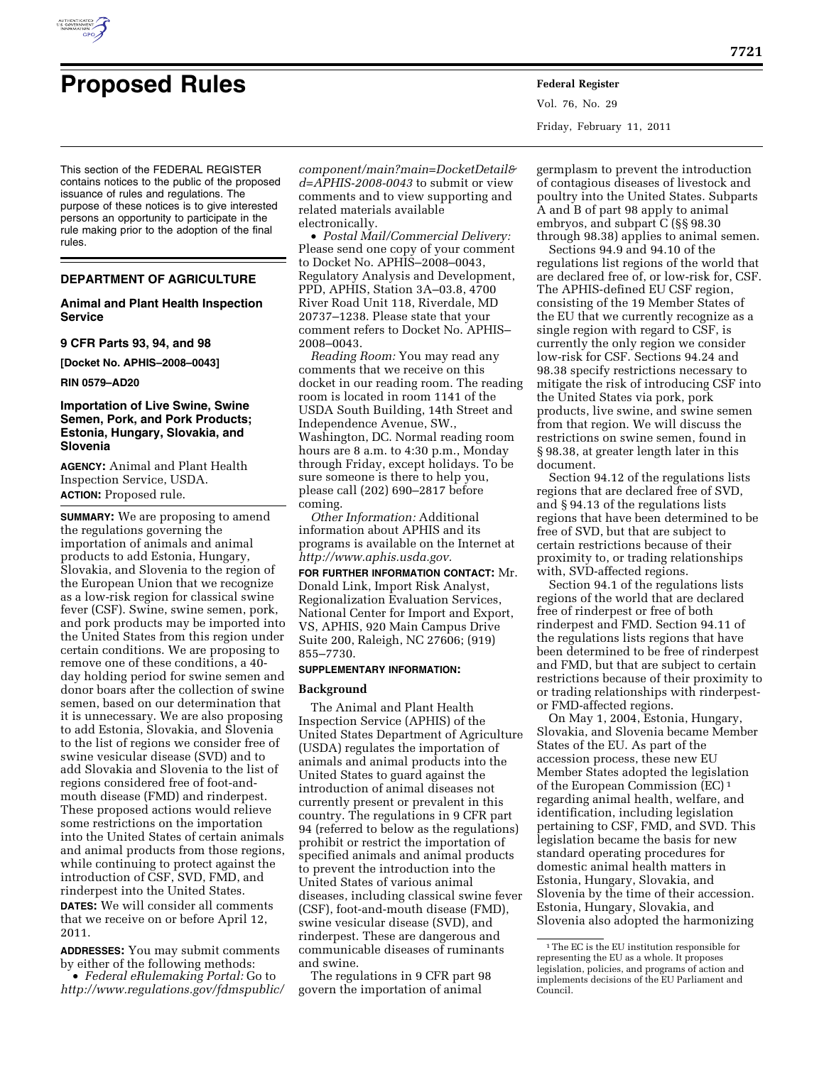

# **Proposed Rules Federal Register**

Vol. 76, No. 29 Friday, February 11, 2011

This section of the FEDERAL REGISTER contains notices to the public of the proposed issuance of rules and regulations. The purpose of these notices is to give interested persons an opportunity to participate in the rule making prior to the adoption of the final rules.

## **DEPARTMENT OF AGRICULTURE**

## **Animal and Plant Health Inspection Service**

## **9 CFR Parts 93, 94, and 98**

**[Docket No. APHIS–2008–0043]** 

**RIN 0579–AD20** 

## **Importation of Live Swine, Swine Semen, Pork, and Pork Products; Estonia, Hungary, Slovakia, and Slovenia**

**AGENCY:** Animal and Plant Health Inspection Service, USDA. **ACTION:** Proposed rule.

**SUMMARY:** We are proposing to amend the regulations governing the importation of animals and animal products to add Estonia, Hungary, Slovakia, and Slovenia to the region of the European Union that we recognize as a low-risk region for classical swine fever (CSF). Swine, swine semen, pork, and pork products may be imported into the United States from this region under certain conditions. We are proposing to remove one of these conditions, a 40 day holding period for swine semen and donor boars after the collection of swine semen, based on our determination that it is unnecessary. We are also proposing to add Estonia, Slovakia, and Slovenia to the list of regions we consider free of swine vesicular disease (SVD) and to add Slovakia and Slovenia to the list of regions considered free of foot-andmouth disease (FMD) and rinderpest. These proposed actions would relieve some restrictions on the importation into the United States of certain animals and animal products from those regions, while continuing to protect against the introduction of CSF, SVD, FMD, and rinderpest into the United States. **DATES:** We will consider all comments that we receive on or before April 12, 2011.

**ADDRESSES:** You may submit comments by either of the following methods: • *Federal eRulemaking Portal:* Go to *[http://www.regulations.gov/fdmspublic/](http://www.regulations.gov/fdmspublic/component/main?main=DocketDetail&d=APHIS-2008-0043)* *[component/main?main=DocketDetail&](http://www.regulations.gov/fdmspublic/component/main?main=DocketDetail&d=APHIS-2008-0043) [d=APHIS-2008-0043](http://www.regulations.gov/fdmspublic/component/main?main=DocketDetail&d=APHIS-2008-0043)* to submit or view comments and to view supporting and related materials available electronically.

• *Postal Mail/Commercial Delivery:*  Please send one copy of your comment to Docket No. APHIS–2008–0043, Regulatory Analysis and Development, PPD, APHIS, Station 3A–03.8, 4700 River Road Unit 118, Riverdale, MD 20737–1238. Please state that your comment refers to Docket No. APHIS– 2008–0043.

*Reading Room:* You may read any comments that we receive on this docket in our reading room. The reading room is located in room 1141 of the USDA South Building, 14th Street and Independence Avenue, SW., Washington, DC. Normal reading room hours are 8 a.m. to 4:30 p.m., Monday through Friday, except holidays. To be sure someone is there to help you, please call (202) 690–2817 before coming.

*Other Information:* Additional information about APHIS and its programs is available on the Internet at *[http://www.aphis.usda.gov.](http://www.aphis.usda.gov)* 

**FOR FURTHER INFORMATION CONTACT:** Mr. Donald Link, Import Risk Analyst, Regionalization Evaluation Services, National Center for Import and Export, VS, APHIS, 920 Main Campus Drive Suite 200, Raleigh, NC 27606; (919) 855–7730.

#### **SUPPLEMENTARY INFORMATION:**

## **Background**

The Animal and Plant Health Inspection Service (APHIS) of the United States Department of Agriculture (USDA) regulates the importation of animals and animal products into the United States to guard against the introduction of animal diseases not currently present or prevalent in this country. The regulations in 9 CFR part 94 (referred to below as the regulations) prohibit or restrict the importation of specified animals and animal products to prevent the introduction into the United States of various animal diseases, including classical swine fever (CSF), foot-and-mouth disease (FMD), swine vesicular disease (SVD), and rinderpest. These are dangerous and communicable diseases of ruminants and swine.

The regulations in 9 CFR part 98 govern the importation of animal

germplasm to prevent the introduction of contagious diseases of livestock and poultry into the United States. Subparts A and B of part 98 apply to animal embryos, and subpart C (§§ 98.30 through 98.38) applies to animal semen.

Sections 94.9 and 94.10 of the regulations list regions of the world that are declared free of, or low-risk for, CSF. The APHIS-defined EU CSF region, consisting of the 19 Member States of the EU that we currently recognize as a single region with regard to CSF, is currently the only region we consider low-risk for CSF. Sections 94.24 and 98.38 specify restrictions necessary to mitigate the risk of introducing CSF into the United States via pork, pork products, live swine, and swine semen from that region. We will discuss the restrictions on swine semen, found in § 98.38, at greater length later in this document.

Section 94.12 of the regulations lists regions that are declared free of SVD, and § 94.13 of the regulations lists regions that have been determined to be free of SVD, but that are subject to certain restrictions because of their proximity to, or trading relationships with, SVD-affected regions.

Section 94.1 of the regulations lists regions of the world that are declared free of rinderpest or free of both rinderpest and FMD. Section 94.11 of the regulations lists regions that have been determined to be free of rinderpest and FMD, but that are subject to certain restrictions because of their proximity to or trading relationships with rinderpestor FMD-affected regions.

On May 1, 2004, Estonia, Hungary, Slovakia, and Slovenia became Member States of the EU. As part of the accession process, these new EU Member States adopted the legislation of the European Commission (EC) 1 regarding animal health, welfare, and identification, including legislation pertaining to CSF, FMD, and SVD. This legislation became the basis for new standard operating procedures for domestic animal health matters in Estonia, Hungary, Slovakia, and Slovenia by the time of their accession. Estonia, Hungary, Slovakia, and Slovenia also adopted the harmonizing

<sup>&</sup>lt;sup>1</sup>The EC is the EU institution responsible for representing the EU as a whole. It proposes legislation, policies, and programs of action and implements decisions of the EU Parliament and Council.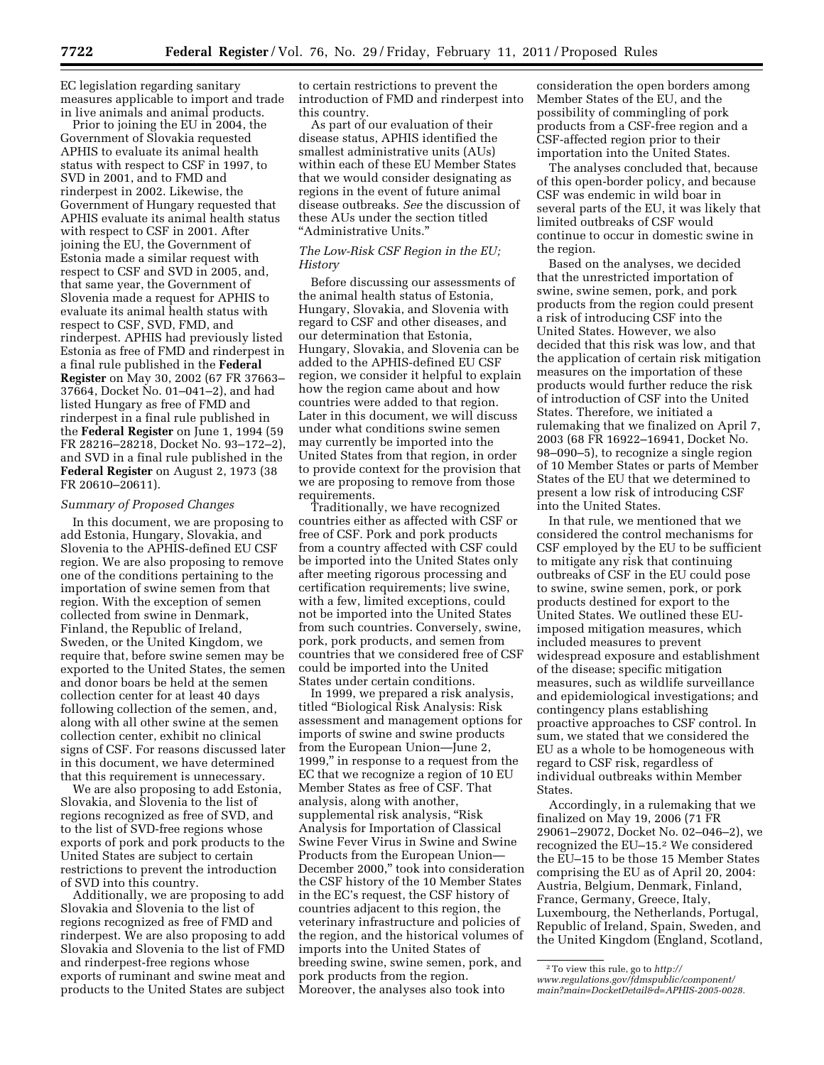EC legislation regarding sanitary measures applicable to import and trade in live animals and animal products.

Prior to joining the EU in 2004, the Government of Slovakia requested APHIS to evaluate its animal health status with respect to CSF in 1997, to SVD in 2001, and to FMD and rinderpest in 2002. Likewise, the Government of Hungary requested that APHIS evaluate its animal health status with respect to CSF in 2001. After joining the EU, the Government of Estonia made a similar request with respect to CSF and SVD in 2005, and, that same year, the Government of Slovenia made a request for APHIS to evaluate its animal health status with respect to CSF, SVD, FMD, and rinderpest. APHIS had previously listed Estonia as free of FMD and rinderpest in a final rule published in the **Federal Register** on May 30, 2002 (67 FR 37663– 37664, Docket No. 01–041–2), and had listed Hungary as free of FMD and rinderpest in a final rule published in the **Federal Register** on June 1, 1994 (59 FR 28216–28218, Docket No. 93–172–2), and SVD in a final rule published in the **Federal Register** on August 2, 1973 (38 FR 20610–20611).

## *Summary of Proposed Changes*

In this document, we are proposing to add Estonia, Hungary, Slovakia, and Slovenia to the APHIS-defined EU CSF region. We are also proposing to remove one of the conditions pertaining to the importation of swine semen from that region. With the exception of semen collected from swine in Denmark, Finland, the Republic of Ireland, Sweden, or the United Kingdom, we require that, before swine semen may be exported to the United States, the semen and donor boars be held at the semen collection center for at least 40 days following collection of the semen, and, along with all other swine at the semen collection center, exhibit no clinical signs of CSF. For reasons discussed later in this document, we have determined that this requirement is unnecessary.

We are also proposing to add Estonia, Slovakia, and Slovenia to the list of regions recognized as free of SVD, and to the list of SVD-free regions whose exports of pork and pork products to the United States are subject to certain restrictions to prevent the introduction of SVD into this country.

Additionally, we are proposing to add Slovakia and Slovenia to the list of regions recognized as free of FMD and rinderpest. We are also proposing to add Slovakia and Slovenia to the list of FMD and rinderpest-free regions whose exports of ruminant and swine meat and products to the United States are subject

to certain restrictions to prevent the introduction of FMD and rinderpest into this country.

As part of our evaluation of their disease status, APHIS identified the smallest administrative units (AUs) within each of these EU Member States that we would consider designating as regions in the event of future animal disease outbreaks. *See* the discussion of these AUs under the section titled ''Administrative Units.''

## *The Low-Risk CSF Region in the EU; History*

Before discussing our assessments of the animal health status of Estonia, Hungary, Slovakia, and Slovenia with regard to CSF and other diseases, and our determination that Estonia, Hungary, Slovakia, and Slovenia can be added to the APHIS-defined EU CSF region, we consider it helpful to explain how the region came about and how countries were added to that region. Later in this document, we will discuss under what conditions swine semen may currently be imported into the United States from that region, in order to provide context for the provision that we are proposing to remove from those requirements.

Traditionally, we have recognized countries either as affected with CSF or free of CSF. Pork and pork products from a country affected with CSF could be imported into the United States only after meeting rigorous processing and certification requirements; live swine, with a few, limited exceptions, could not be imported into the United States from such countries. Conversely, swine, pork, pork products, and semen from countries that we considered free of CSF could be imported into the United States under certain conditions.

In 1999, we prepared a risk analysis, titled ''Biological Risk Analysis: Risk assessment and management options for imports of swine and swine products from the European Union—June 2, 1999,'' in response to a request from the EC that we recognize a region of 10 EU Member States as free of CSF. That analysis, along with another, supplemental risk analysis, "Risk Analysis for Importation of Classical Swine Fever Virus in Swine and Swine Products from the European Union— December 2000,'' took into consideration the CSF history of the 10 Member States in the EC's request, the CSF history of countries adjacent to this region, the veterinary infrastructure and policies of the region, and the historical volumes of imports into the United States of breeding swine, swine semen, pork, and pork products from the region. Moreover, the analyses also took into

consideration the open borders among Member States of the EU, and the possibility of commingling of pork products from a CSF-free region and a CSF-affected region prior to their importation into the United States.

The analyses concluded that, because of this open-border policy, and because CSF was endemic in wild boar in several parts of the EU, it was likely that limited outbreaks of CSF would continue to occur in domestic swine in the region.

Based on the analyses, we decided that the unrestricted importation of swine, swine semen, pork, and pork products from the region could present a risk of introducing CSF into the United States. However, we also decided that this risk was low, and that the application of certain risk mitigation measures on the importation of these products would further reduce the risk of introduction of CSF into the United States. Therefore, we initiated a rulemaking that we finalized on April 7, 2003 (68 FR 16922–16941, Docket No. 98–090–5), to recognize a single region of 10 Member States or parts of Member States of the EU that we determined to present a low risk of introducing CSF into the United States.

In that rule, we mentioned that we considered the control mechanisms for CSF employed by the EU to be sufficient to mitigate any risk that continuing outbreaks of CSF in the EU could pose to swine, swine semen, pork, or pork products destined for export to the United States. We outlined these EUimposed mitigation measures, which included measures to prevent widespread exposure and establishment of the disease; specific mitigation measures, such as wildlife surveillance and epidemiological investigations; and contingency plans establishing proactive approaches to CSF control. In sum, we stated that we considered the EU as a whole to be homogeneous with regard to CSF risk, regardless of individual outbreaks within Member States.

Accordingly, in a rulemaking that we finalized on May 19, 2006 (71 FR 29061–29072, Docket No. 02–046–2), we recognized the EU–15.2 We considered the EU–15 to be those 15 Member States comprising the EU as of April 20, 2004: Austria, Belgium, Denmark, Finland, France, Germany, Greece, Italy, Luxembourg, the Netherlands, Portugal, Republic of Ireland, Spain, Sweden, and the United Kingdom (England, Scotland,

<sup>2</sup>To view this rule, go to *[http://](http://www.regulations.gov/fdmspublic/component/main?main=DocketDetail&d=APHIS-2005-0028)  [www.regulations.gov/fdmspublic/component/](http://www.regulations.gov/fdmspublic/component/main?main=DocketDetail&d=APHIS-2005-0028) [main?main=DocketDetail&d=APHIS-2005-0028.](http://www.regulations.gov/fdmspublic/component/main?main=DocketDetail&d=APHIS-2005-0028)*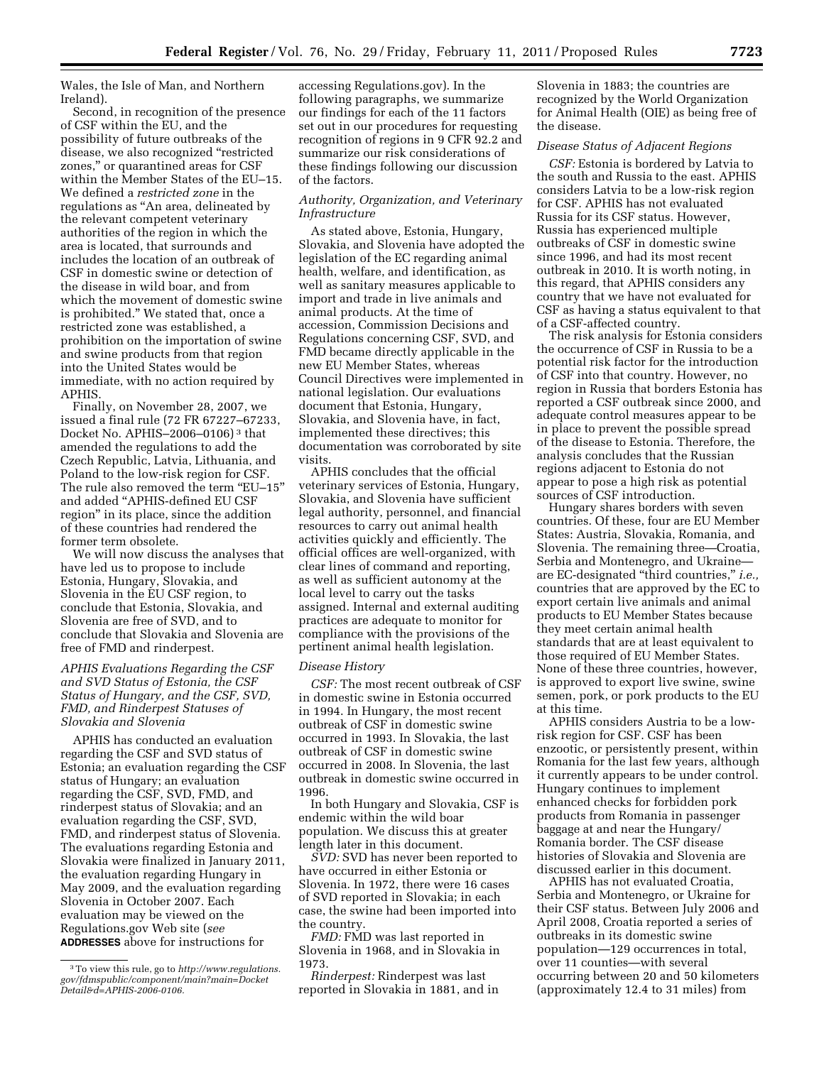Wales, the Isle of Man, and Northern Ireland).

Second, in recognition of the presence of CSF within the EU, and the possibility of future outbreaks of the disease, we also recognized ''restricted zones,'' or quarantined areas for CSF within the Member States of the EU–15. We defined a *restricted zone* in the regulations as ''An area, delineated by the relevant competent veterinary authorities of the region in which the area is located, that surrounds and includes the location of an outbreak of CSF in domestic swine or detection of the disease in wild boar, and from which the movement of domestic swine is prohibited.'' We stated that, once a restricted zone was established, a prohibition on the importation of swine and swine products from that region into the United States would be immediate, with no action required by APHIS.

Finally, on November 28, 2007, we issued a final rule (72 FR 67227–67233, Docket No. APHIS–2006–0106) 3 that amended the regulations to add the Czech Republic, Latvia, Lithuania, and Poland to the low-risk region for CSF. The rule also removed the term "EU-15" and added ''APHIS-defined EU CSF region'' in its place, since the addition of these countries had rendered the former term obsolete.

We will now discuss the analyses that have led us to propose to include Estonia, Hungary, Slovakia, and Slovenia in the EU CSF region, to conclude that Estonia, Slovakia, and Slovenia are free of SVD, and to conclude that Slovakia and Slovenia are free of FMD and rinderpest.

# *APHIS Evaluations Regarding the CSF and SVD Status of Estonia, the CSF Status of Hungary, and the CSF, SVD, FMD, and Rinderpest Statuses of Slovakia and Slovenia*

APHIS has conducted an evaluation regarding the CSF and SVD status of Estonia; an evaluation regarding the CSF status of Hungary; an evaluation regarding the CSF, SVD, FMD, and rinderpest status of Slovakia; and an evaluation regarding the CSF, SVD, FMD, and rinderpest status of Slovenia. The evaluations regarding Estonia and Slovakia were finalized in January 2011, the evaluation regarding Hungary in May 2009, and the evaluation regarding Slovenia in October 2007. Each evaluation may be viewed on the Regulations.gov Web site (*see*  **ADDRESSES** above for instructions for

accessing Regulations.gov). In the following paragraphs, we summarize our findings for each of the 11 factors set out in our procedures for requesting recognition of regions in 9 CFR 92.2 and summarize our risk considerations of these findings following our discussion of the factors.

# *Authority, Organization, and Veterinary Infrastructure*

As stated above, Estonia, Hungary, Slovakia, and Slovenia have adopted the legislation of the EC regarding animal health, welfare, and identification, as well as sanitary measures applicable to import and trade in live animals and animal products. At the time of accession, Commission Decisions and Regulations concerning CSF, SVD, and FMD became directly applicable in the new EU Member States, whereas Council Directives were implemented in national legislation. Our evaluations document that Estonia, Hungary, Slovakia, and Slovenia have, in fact, implemented these directives; this documentation was corroborated by site visits.

APHIS concludes that the official veterinary services of Estonia, Hungary, Slovakia, and Slovenia have sufficient legal authority, personnel, and financial resources to carry out animal health activities quickly and efficiently. The official offices are well-organized, with clear lines of command and reporting, as well as sufficient autonomy at the local level to carry out the tasks assigned. Internal and external auditing practices are adequate to monitor for compliance with the provisions of the pertinent animal health legislation.

## *Disease History*

*CSF:* The most recent outbreak of CSF in domestic swine in Estonia occurred in 1994. In Hungary, the most recent outbreak of CSF in domestic swine occurred in 1993. In Slovakia, the last outbreak of CSF in domestic swine occurred in 2008. In Slovenia, the last outbreak in domestic swine occurred in 1996.

In both Hungary and Slovakia, CSF is endemic within the wild boar population. We discuss this at greater length later in this document.

*SVD:* SVD has never been reported to have occurred in either Estonia or Slovenia. In 1972, there were 16 cases of SVD reported in Slovakia; in each case, the swine had been imported into the country.

*FMD:* FMD was last reported in Slovenia in 1968, and in Slovakia in 1973.

*Rinderpest:* Rinderpest was last reported in Slovakia in 1881, and in Slovenia in 1883; the countries are recognized by the World Organization for Animal Health (OIE) as being free of the disease.

# *Disease Status of Adjacent Regions*

*CSF:* Estonia is bordered by Latvia to the south and Russia to the east. APHIS considers Latvia to be a low-risk region for CSF. APHIS has not evaluated Russia for its CSF status. However, Russia has experienced multiple outbreaks of CSF in domestic swine since 1996, and had its most recent outbreak in 2010. It is worth noting, in this regard, that APHIS considers any country that we have not evaluated for CSF as having a status equivalent to that of a CSF-affected country.

The risk analysis for Estonia considers the occurrence of CSF in Russia to be a potential risk factor for the introduction of CSF into that country. However, no region in Russia that borders Estonia has reported a CSF outbreak since 2000, and adequate control measures appear to be in place to prevent the possible spread of the disease to Estonia. Therefore, the analysis concludes that the Russian regions adjacent to Estonia do not appear to pose a high risk as potential sources of CSF introduction.

Hungary shares borders with seven countries. Of these, four are EU Member States: Austria, Slovakia, Romania, and Slovenia. The remaining three—Croatia, Serbia and Montenegro, and Ukraine are EC-designated ''third countries,'' *i.e.,*  countries that are approved by the EC to export certain live animals and animal products to EU Member States because they meet certain animal health standards that are at least equivalent to those required of EU Member States. None of these three countries, however, is approved to export live swine, swine semen, pork, or pork products to the EU at this time.

APHIS considers Austria to be a lowrisk region for CSF. CSF has been enzootic, or persistently present, within Romania for the last few years, although it currently appears to be under control. Hungary continues to implement enhanced checks for forbidden pork products from Romania in passenger baggage at and near the Hungary/ Romania border. The CSF disease histories of Slovakia and Slovenia are discussed earlier in this document.

APHIS has not evaluated Croatia, Serbia and Montenegro, or Ukraine for their CSF status. Between July 2006 and April 2008, Croatia reported a series of outbreaks in its domestic swine population—129 occurrences in total, over 11 counties—with several occurring between 20 and 50 kilometers (approximately 12.4 to 31 miles) from

<sup>3</sup>To view this rule, go to *[http://www.regulations.](http://www.regulations.gov/fdmspublic/component/main?main=DocketDetail&d=APHIS-2006-0106) [gov/fdmspublic/component/main?main=Docket](http://www.regulations.gov/fdmspublic/component/main?main=DocketDetail&d=APHIS-2006-0106) [Detail&d=APHIS-2006-0106.](http://www.regulations.gov/fdmspublic/component/main?main=DocketDetail&d=APHIS-2006-0106)*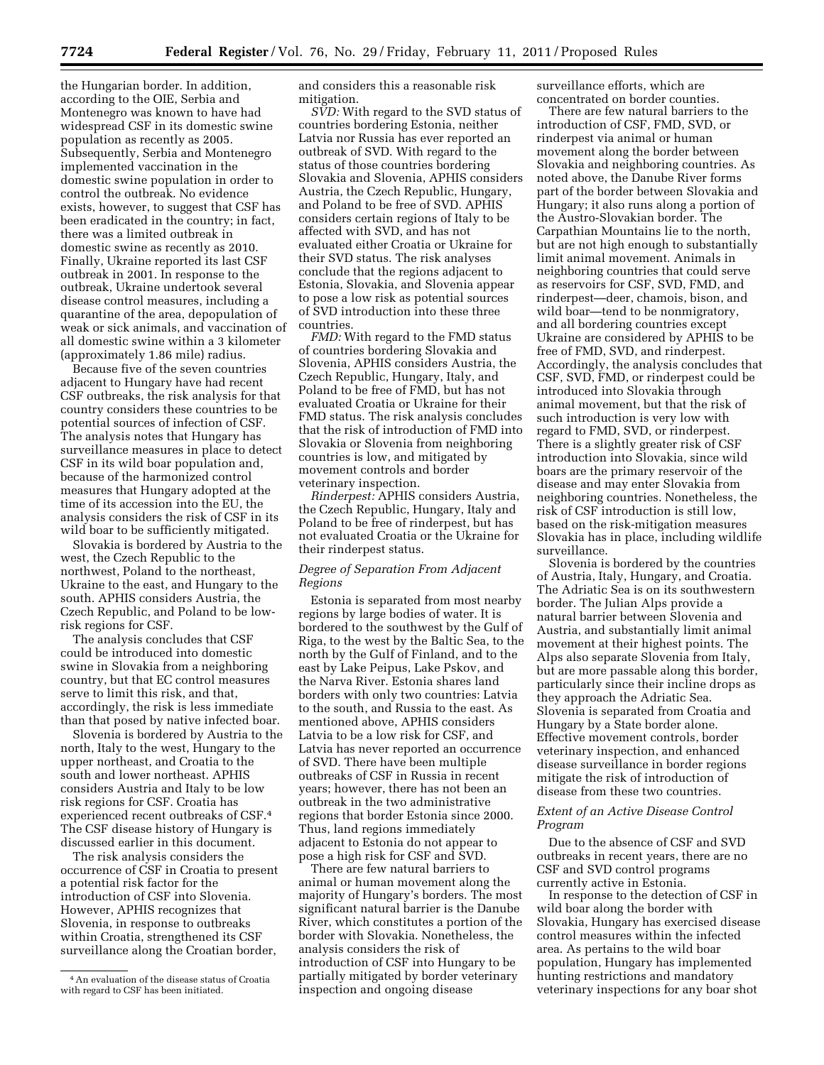the Hungarian border. In addition, according to the OIE, Serbia and Montenegro was known to have had widespread CSF in its domestic swine population as recently as 2005. Subsequently, Serbia and Montenegro implemented vaccination in the domestic swine population in order to control the outbreak. No evidence exists, however, to suggest that CSF has been eradicated in the country; in fact, there was a limited outbreak in domestic swine as recently as 2010. Finally, Ukraine reported its last CSF outbreak in 2001. In response to the outbreak, Ukraine undertook several disease control measures, including a quarantine of the area, depopulation of weak or sick animals, and vaccination of all domestic swine within a 3 kilometer (approximately 1.86 mile) radius.

Because five of the seven countries adjacent to Hungary have had recent CSF outbreaks, the risk analysis for that country considers these countries to be potential sources of infection of CSF. The analysis notes that Hungary has surveillance measures in place to detect CSF in its wild boar population and, because of the harmonized control measures that Hungary adopted at the time of its accession into the EU, the analysis considers the risk of CSF in its wild boar to be sufficiently mitigated.

Slovakia is bordered by Austria to the west, the Czech Republic to the northwest, Poland to the northeast, Ukraine to the east, and Hungary to the south. APHIS considers Austria, the Czech Republic, and Poland to be lowrisk regions for CSF.

The analysis concludes that CSF could be introduced into domestic swine in Slovakia from a neighboring country, but that EC control measures serve to limit this risk, and that, accordingly, the risk is less immediate than that posed by native infected boar.

Slovenia is bordered by Austria to the north, Italy to the west, Hungary to the upper northeast, and Croatia to the south and lower northeast. APHIS considers Austria and Italy to be low risk regions for CSF. Croatia has experienced recent outbreaks of CSF.4 The CSF disease history of Hungary is discussed earlier in this document.

The risk analysis considers the occurrence of CSF in Croatia to present a potential risk factor for the introduction of CSF into Slovenia. However, APHIS recognizes that Slovenia, in response to outbreaks within Croatia, strengthened its CSF surveillance along the Croatian border,

and considers this a reasonable risk mitigation.

*SVD:* With regard to the SVD status of countries bordering Estonia, neither Latvia nor Russia has ever reported an outbreak of SVD. With regard to the status of those countries bordering Slovakia and Slovenia, APHIS considers Austria, the Czech Republic, Hungary, and Poland to be free of SVD. APHIS considers certain regions of Italy to be affected with SVD, and has not evaluated either Croatia or Ukraine for their SVD status. The risk analyses conclude that the regions adjacent to Estonia, Slovakia, and Slovenia appear to pose a low risk as potential sources of SVD introduction into these three countries.

*FMD:* With regard to the FMD status of countries bordering Slovakia and Slovenia, APHIS considers Austria, the Czech Republic, Hungary, Italy, and Poland to be free of FMD, but has not evaluated Croatia or Ukraine for their FMD status. The risk analysis concludes that the risk of introduction of FMD into Slovakia or Slovenia from neighboring countries is low, and mitigated by movement controls and border veterinary inspection.

*Rinderpest:* APHIS considers Austria, the Czech Republic, Hungary, Italy and Poland to be free of rinderpest, but has not evaluated Croatia or the Ukraine for their rinderpest status.

# *Degree of Separation From Adjacent Regions*

Estonia is separated from most nearby regions by large bodies of water. It is bordered to the southwest by the Gulf of Riga, to the west by the Baltic Sea, to the north by the Gulf of Finland, and to the east by Lake Peipus, Lake Pskov, and the Narva River. Estonia shares land borders with only two countries: Latvia to the south, and Russia to the east. As mentioned above, APHIS considers Latvia to be a low risk for CSF, and Latvia has never reported an occurrence of SVD. There have been multiple outbreaks of CSF in Russia in recent years; however, there has not been an outbreak in the two administrative regions that border Estonia since 2000. Thus, land regions immediately adjacent to Estonia do not appear to pose a high risk for CSF and SVD.

There are few natural barriers to animal or human movement along the majority of Hungary's borders. The most significant natural barrier is the Danube River, which constitutes a portion of the border with Slovakia. Nonetheless, the analysis considers the risk of introduction of CSF into Hungary to be partially mitigated by border veterinary inspection and ongoing disease

surveillance efforts, which are concentrated on border counties.

There are few natural barriers to the introduction of CSF, FMD, SVD, or rinderpest via animal or human movement along the border between Slovakia and neighboring countries. As noted above, the Danube River forms part of the border between Slovakia and Hungary; it also runs along a portion of the Austro-Slovakian border. The Carpathian Mountains lie to the north, but are not high enough to substantially limit animal movement. Animals in neighboring countries that could serve as reservoirs for CSF, SVD, FMD, and rinderpest—deer, chamois, bison, and wild boar—tend to be nonmigratory, and all bordering countries except Ukraine are considered by APHIS to be free of FMD, SVD, and rinderpest. Accordingly, the analysis concludes that CSF, SVD, FMD, or rinderpest could be introduced into Slovakia through animal movement, but that the risk of such introduction is very low with regard to FMD, SVD, or rinderpest. There is a slightly greater risk of CSF introduction into Slovakia, since wild boars are the primary reservoir of the disease and may enter Slovakia from neighboring countries. Nonetheless, the risk of CSF introduction is still low, based on the risk-mitigation measures Slovakia has in place, including wildlife surveillance.

Slovenia is bordered by the countries of Austria, Italy, Hungary, and Croatia. The Adriatic Sea is on its southwestern border. The Julian Alps provide a natural barrier between Slovenia and Austria, and substantially limit animal movement at their highest points. The Alps also separate Slovenia from Italy, but are more passable along this border, particularly since their incline drops as they approach the Adriatic Sea. Slovenia is separated from Croatia and Hungary by a State border alone. Effective movement controls, border veterinary inspection, and enhanced disease surveillance in border regions mitigate the risk of introduction of disease from these two countries.

# *Extent of an Active Disease Control Program*

Due to the absence of CSF and SVD outbreaks in recent years, there are no CSF and SVD control programs currently active in Estonia.

In response to the detection of CSF in wild boar along the border with Slovakia, Hungary has exercised disease control measures within the infected area. As pertains to the wild boar population, Hungary has implemented hunting restrictions and mandatory veterinary inspections for any boar shot

<sup>4</sup>An evaluation of the disease status of Croatia with regard to CSF has been initiated.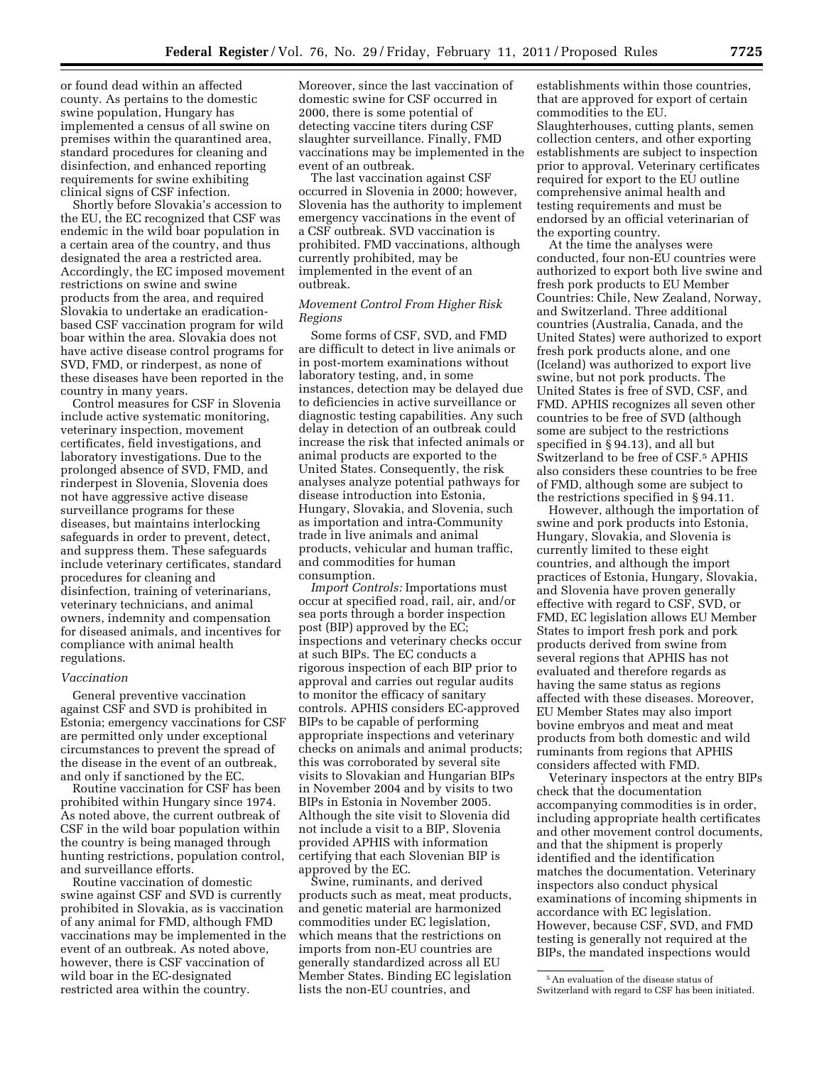or found dead within an affected county. As pertains to the domestic swine population, Hungary has implemented a census of all swine on premises within the quarantined area, standard procedures for cleaning and disinfection, and enhanced reporting requirements for swine exhibiting clinical signs of CSF infection.

Shortly before Slovakia's accession to the EU, the EC recognized that CSF was endemic in the wild boar population in a certain area of the country, and thus designated the area a restricted area. Accordingly, the EC imposed movement restrictions on swine and swine products from the area, and required Slovakia to undertake an eradicationbased CSF vaccination program for wild boar within the area. Slovakia does not have active disease control programs for SVD, FMD, or rinderpest, as none of these diseases have been reported in the country in many years.

Control measures for CSF in Slovenia include active systematic monitoring, veterinary inspection, movement certificates, field investigations, and laboratory investigations. Due to the prolonged absence of SVD, FMD, and rinderpest in Slovenia, Slovenia does not have aggressive active disease surveillance programs for these diseases, but maintains interlocking safeguards in order to prevent, detect, and suppress them. These safeguards include veterinary certificates, standard procedures for cleaning and disinfection, training of veterinarians, veterinary technicians, and animal owners, indemnity and compensation for diseased animals, and incentives for compliance with animal health regulations.

#### *Vaccination*

General preventive vaccination against CSF and SVD is prohibited in Estonia; emergency vaccinations for CSF are permitted only under exceptional circumstances to prevent the spread of the disease in the event of an outbreak, and only if sanctioned by the EC.

Routine vaccination for CSF has been prohibited within Hungary since 1974. As noted above, the current outbreak of CSF in the wild boar population within the country is being managed through hunting restrictions, population control, and surveillance efforts.

Routine vaccination of domestic swine against CSF and SVD is currently prohibited in Slovakia, as is vaccination of any animal for FMD, although FMD vaccinations may be implemented in the event of an outbreak. As noted above, however, there is CSF vaccination of wild boar in the EC-designated restricted area within the country.

Moreover, since the last vaccination of domestic swine for CSF occurred in 2000, there is some potential of detecting vaccine titers during CSF slaughter surveillance. Finally, FMD vaccinations may be implemented in the event of an outbreak.

The last vaccination against CSF occurred in Slovenia in 2000; however, Slovenia has the authority to implement emergency vaccinations in the event of a CSF outbreak. SVD vaccination is prohibited. FMD vaccinations, although currently prohibited, may be implemented in the event of an outbreak.

# *Movement Control From Higher Risk Regions*

Some forms of CSF, SVD, and FMD are difficult to detect in live animals or in post-mortem examinations without laboratory testing, and, in some instances, detection may be delayed due to deficiencies in active surveillance or diagnostic testing capabilities. Any such delay in detection of an outbreak could increase the risk that infected animals or animal products are exported to the United States. Consequently, the risk analyses analyze potential pathways for disease introduction into Estonia, Hungary, Slovakia, and Slovenia, such as importation and intra-Community trade in live animals and animal products, vehicular and human traffic, and commodities for human consumption.

*Import Controls:* Importations must occur at specified road, rail, air, and/or sea ports through a border inspection post (BIP) approved by the EC; inspections and veterinary checks occur at such BIPs. The EC conducts a rigorous inspection of each BIP prior to approval and carries out regular audits to monitor the efficacy of sanitary controls. APHIS considers EC-approved BIPs to be capable of performing appropriate inspections and veterinary checks on animals and animal products; this was corroborated by several site visits to Slovakian and Hungarian BIPs in November 2004 and by visits to two BIPs in Estonia in November 2005. Although the site visit to Slovenia did not include a visit to a BIP, Slovenia provided APHIS with information certifying that each Slovenian BIP is approved by the EC.

Swine, ruminants, and derived products such as meat, meat products, and genetic material are harmonized commodities under EC legislation, which means that the restrictions on imports from non-EU countries are generally standardized across all EU Member States. Binding EC legislation lists the non-EU countries, and

establishments within those countries, that are approved for export of certain commodities to the EU. Slaughterhouses, cutting plants, semen collection centers, and other exporting establishments are subject to inspection prior to approval. Veterinary certificates required for export to the EU outline comprehensive animal health and testing requirements and must be endorsed by an official veterinarian of the exporting country.

At the time the analyses were conducted, four non-EU countries were authorized to export both live swine and fresh pork products to EU Member Countries: Chile, New Zealand, Norway, and Switzerland. Three additional countries (Australia, Canada, and the United States) were authorized to export fresh pork products alone, and one (Iceland) was authorized to export live swine, but not pork products. The United States is free of SVD, CSF, and FMD. APHIS recognizes all seven other countries to be free of SVD (although some are subject to the restrictions specified in § 94.13), and all but Switzerland to be free of CSF.5 APHIS also considers these countries to be free of FMD, although some are subject to the restrictions specified in § 94.11.

However, although the importation of swine and pork products into Estonia, Hungary, Slovakia, and Slovenia is currently limited to these eight countries, and although the import practices of Estonia, Hungary, Slovakia, and Slovenia have proven generally effective with regard to CSF, SVD, or FMD, EC legislation allows EU Member States to import fresh pork and pork products derived from swine from several regions that APHIS has not evaluated and therefore regards as having the same status as regions affected with these diseases. Moreover, EU Member States may also import bovine embryos and meat and meat products from both domestic and wild ruminants from regions that APHIS considers affected with FMD.

Veterinary inspectors at the entry BIPs check that the documentation accompanying commodities is in order, including appropriate health certificates and other movement control documents, and that the shipment is properly identified and the identification matches the documentation. Veterinary inspectors also conduct physical examinations of incoming shipments in accordance with EC legislation. However, because CSF, SVD, and FMD testing is generally not required at the BIPs, the mandated inspections would

<sup>5</sup>An evaluation of the disease status of Switzerland with regard to CSF has been initiated.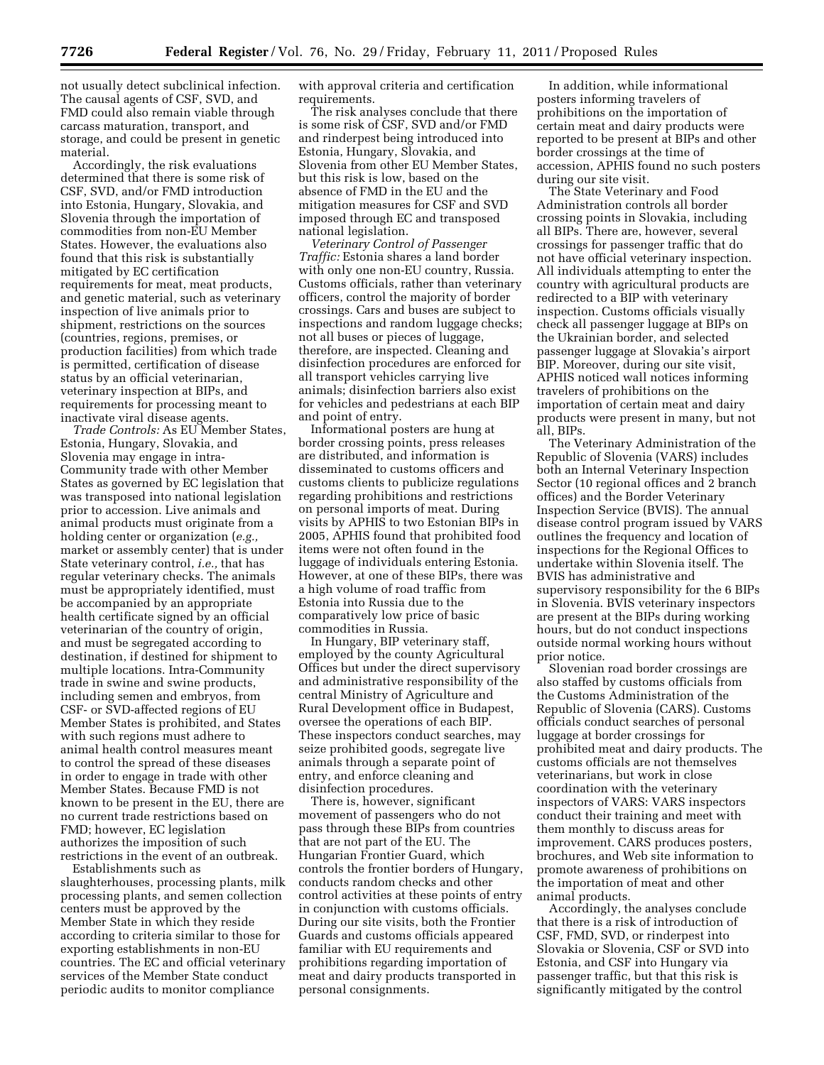not usually detect subclinical infection. The causal agents of CSF, SVD, and FMD could also remain viable through carcass maturation, transport, and storage, and could be present in genetic material.

Accordingly, the risk evaluations determined that there is some risk of CSF, SVD, and/or FMD introduction into Estonia, Hungary, Slovakia, and Slovenia through the importation of commodities from non-EU Member States. However, the evaluations also found that this risk is substantially mitigated by EC certification requirements for meat, meat products, and genetic material, such as veterinary inspection of live animals prior to shipment, restrictions on the sources (countries, regions, premises, or production facilities) from which trade is permitted, certification of disease status by an official veterinarian, veterinary inspection at BIPs, and requirements for processing meant to inactivate viral disease agents.

*Trade Controls:* As EU Member States, Estonia, Hungary, Slovakia, and Slovenia may engage in intra-Community trade with other Member States as governed by EC legislation that was transposed into national legislation prior to accession. Live animals and animal products must originate from a holding center or organization (*e.g.,*  market or assembly center) that is under State veterinary control, *i.e.,* that has regular veterinary checks. The animals must be appropriately identified, must be accompanied by an appropriate health certificate signed by an official veterinarian of the country of origin, and must be segregated according to destination, if destined for shipment to multiple locations. Intra-Community trade in swine and swine products, including semen and embryos, from CSF- or SVD-affected regions of EU Member States is prohibited, and States with such regions must adhere to animal health control measures meant to control the spread of these diseases in order to engage in trade with other Member States. Because FMD is not known to be present in the EU, there are no current trade restrictions based on FMD; however, EC legislation authorizes the imposition of such restrictions in the event of an outbreak.

Establishments such as slaughterhouses, processing plants, milk processing plants, and semen collection centers must be approved by the Member State in which they reside according to criteria similar to those for exporting establishments in non-EU countries. The EC and official veterinary services of the Member State conduct periodic audits to monitor compliance

with approval criteria and certification requirements.

The risk analyses conclude that there is some risk of CSF, SVD and/or FMD and rinderpest being introduced into Estonia, Hungary, Slovakia, and Slovenia from other EU Member States, but this risk is low, based on the absence of FMD in the EU and the mitigation measures for CSF and SVD imposed through EC and transposed national legislation.

*Veterinary Control of Passenger Traffic:* Estonia shares a land border with only one non-EU country, Russia. Customs officials, rather than veterinary officers, control the majority of border crossings. Cars and buses are subject to inspections and random luggage checks; not all buses or pieces of luggage, therefore, are inspected. Cleaning and disinfection procedures are enforced for all transport vehicles carrying live animals; disinfection barriers also exist for vehicles and pedestrians at each BIP and point of entry.

Informational posters are hung at border crossing points, press releases are distributed, and information is disseminated to customs officers and customs clients to publicize regulations regarding prohibitions and restrictions on personal imports of meat. During visits by APHIS to two Estonian BIPs in 2005, APHIS found that prohibited food items were not often found in the luggage of individuals entering Estonia. However, at one of these BIPs, there was a high volume of road traffic from Estonia into Russia due to the comparatively low price of basic commodities in Russia.

In Hungary, BIP veterinary staff, employed by the county Agricultural Offices but under the direct supervisory and administrative responsibility of the central Ministry of Agriculture and Rural Development office in Budapest, oversee the operations of each BIP. These inspectors conduct searches, may seize prohibited goods, segregate live animals through a separate point of entry, and enforce cleaning and disinfection procedures.

There is, however, significant movement of passengers who do not pass through these BIPs from countries that are not part of the EU. The Hungarian Frontier Guard, which controls the frontier borders of Hungary, conducts random checks and other control activities at these points of entry in conjunction with customs officials. During our site visits, both the Frontier Guards and customs officials appeared familiar with EU requirements and prohibitions regarding importation of meat and dairy products transported in personal consignments.

In addition, while informational posters informing travelers of prohibitions on the importation of certain meat and dairy products were reported to be present at BIPs and other border crossings at the time of accession, APHIS found no such posters during our site visit.

The State Veterinary and Food Administration controls all border crossing points in Slovakia, including all BIPs. There are, however, several crossings for passenger traffic that do not have official veterinary inspection. All individuals attempting to enter the country with agricultural products are redirected to a BIP with veterinary inspection. Customs officials visually check all passenger luggage at BIPs on the Ukrainian border, and selected passenger luggage at Slovakia's airport BIP. Moreover, during our site visit, APHIS noticed wall notices informing travelers of prohibitions on the importation of certain meat and dairy products were present in many, but not all, BIPs.

The Veterinary Administration of the Republic of Slovenia (VARS) includes both an Internal Veterinary Inspection Sector (10 regional offices and 2 branch offices) and the Border Veterinary Inspection Service (BVIS). The annual disease control program issued by VARS outlines the frequency and location of inspections for the Regional Offices to undertake within Slovenia itself. The BVIS has administrative and supervisory responsibility for the 6 BIPs in Slovenia. BVIS veterinary inspectors are present at the BIPs during working hours, but do not conduct inspections outside normal working hours without prior notice.

Slovenian road border crossings are also staffed by customs officials from the Customs Administration of the Republic of Slovenia (CARS). Customs officials conduct searches of personal luggage at border crossings for prohibited meat and dairy products. The customs officials are not themselves veterinarians, but work in close coordination with the veterinary inspectors of VARS: VARS inspectors conduct their training and meet with them monthly to discuss areas for improvement. CARS produces posters, brochures, and Web site information to promote awareness of prohibitions on the importation of meat and other animal products.

Accordingly, the analyses conclude that there is a risk of introduction of CSF, FMD, SVD, or rinderpest into Slovakia or Slovenia, CSF or SVD into Estonia, and CSF into Hungary via passenger traffic, but that this risk is significantly mitigated by the control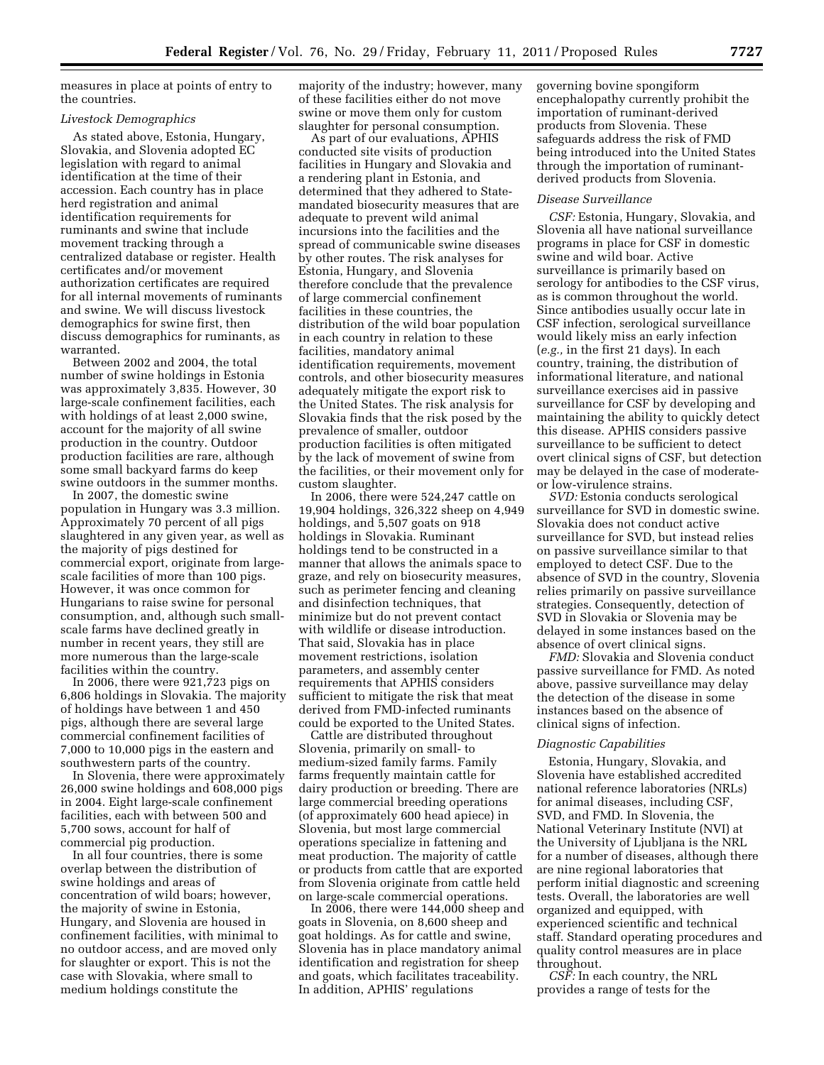measures in place at points of entry to the countries.

#### *Livestock Demographics*

As stated above, Estonia, Hungary, Slovakia, and Slovenia adopted EC legislation with regard to animal identification at the time of their accession. Each country has in place herd registration and animal identification requirements for ruminants and swine that include movement tracking through a centralized database or register. Health certificates and/or movement authorization certificates are required for all internal movements of ruminants and swine. We will discuss livestock demographics for swine first, then discuss demographics for ruminants, as warranted.

Between 2002 and 2004, the total number of swine holdings in Estonia was approximately 3,835. However, 30 large-scale confinement facilities, each with holdings of at least 2,000 swine, account for the majority of all swine production in the country. Outdoor production facilities are rare, although some small backyard farms do keep swine outdoors in the summer months.

In 2007, the domestic swine population in Hungary was 3.3 million. Approximately 70 percent of all pigs slaughtered in any given year, as well as the majority of pigs destined for commercial export, originate from largescale facilities of more than 100 pigs. However, it was once common for Hungarians to raise swine for personal consumption, and, although such smallscale farms have declined greatly in number in recent years, they still are more numerous than the large-scale facilities within the country.

In 2006, there were 921,723 pigs on 6,806 holdings in Slovakia. The majority of holdings have between 1 and 450 pigs, although there are several large commercial confinement facilities of 7,000 to 10,000 pigs in the eastern and southwestern parts of the country.

In Slovenia, there were approximately 26,000 swine holdings and 608,000 pigs in 2004. Eight large-scale confinement facilities, each with between 500 and 5,700 sows, account for half of commercial pig production.

In all four countries, there is some overlap between the distribution of swine holdings and areas of concentration of wild boars; however, the majority of swine in Estonia, Hungary, and Slovenia are housed in confinement facilities, with minimal to no outdoor access, and are moved only for slaughter or export. This is not the case with Slovakia, where small to medium holdings constitute the

majority of the industry; however, many of these facilities either do not move swine or move them only for custom slaughter for personal consumption.

As part of our evaluations, APHIS conducted site visits of production facilities in Hungary and Slovakia and a rendering plant in Estonia, and determined that they adhered to Statemandated biosecurity measures that are adequate to prevent wild animal incursions into the facilities and the spread of communicable swine diseases by other routes. The risk analyses for Estonia, Hungary, and Slovenia therefore conclude that the prevalence of large commercial confinement facilities in these countries, the distribution of the wild boar population in each country in relation to these facilities, mandatory animal identification requirements, movement controls, and other biosecurity measures adequately mitigate the export risk to the United States. The risk analysis for Slovakia finds that the risk posed by the prevalence of smaller, outdoor production facilities is often mitigated by the lack of movement of swine from the facilities, or their movement only for custom slaughter.

In 2006, there were 524,247 cattle on 19,904 holdings, 326,322 sheep on 4,949 holdings, and 5,507 goats on 918 holdings in Slovakia. Ruminant holdings tend to be constructed in a manner that allows the animals space to graze, and rely on biosecurity measures, such as perimeter fencing and cleaning and disinfection techniques, that minimize but do not prevent contact with wildlife or disease introduction. That said, Slovakia has in place movement restrictions, isolation parameters, and assembly center requirements that APHIS considers sufficient to mitigate the risk that meat derived from FMD-infected ruminants could be exported to the United States.

Cattle are distributed throughout Slovenia, primarily on small- to medium-sized family farms. Family farms frequently maintain cattle for dairy production or breeding. There are large commercial breeding operations (of approximately 600 head apiece) in Slovenia, but most large commercial operations specialize in fattening and meat production. The majority of cattle or products from cattle that are exported from Slovenia originate from cattle held on large-scale commercial operations.

In 2006, there were  $144,000$  sheep and goats in Slovenia, on 8,600 sheep and goat holdings. As for cattle and swine, Slovenia has in place mandatory animal identification and registration for sheep and goats, which facilitates traceability. In addition, APHIS' regulations

governing bovine spongiform encephalopathy currently prohibit the importation of ruminant-derived products from Slovenia. These safeguards address the risk of FMD being introduced into the United States through the importation of ruminantderived products from Slovenia.

## *Disease Surveillance*

*CSF:* Estonia, Hungary, Slovakia, and Slovenia all have national surveillance programs in place for CSF in domestic swine and wild boar. Active surveillance is primarily based on serology for antibodies to the CSF virus, as is common throughout the world. Since antibodies usually occur late in CSF infection, serological surveillance would likely miss an early infection (*e.g.,* in the first 21 days). In each country, training, the distribution of informational literature, and national surveillance exercises aid in passive surveillance for CSF by developing and maintaining the ability to quickly detect this disease. APHIS considers passive surveillance to be sufficient to detect overt clinical signs of CSF, but detection may be delayed in the case of moderateor low-virulence strains.

*SVD:* Estonia conducts serological surveillance for SVD in domestic swine. Slovakia does not conduct active surveillance for SVD, but instead relies on passive surveillance similar to that employed to detect CSF. Due to the absence of SVD in the country, Slovenia relies primarily on passive surveillance strategies. Consequently, detection of SVD in Slovakia or Slovenia may be delayed in some instances based on the absence of overt clinical signs.

*FMD:* Slovakia and Slovenia conduct passive surveillance for FMD. As noted above, passive surveillance may delay the detection of the disease in some instances based on the absence of clinical signs of infection.

#### *Diagnostic Capabilities*

Estonia, Hungary, Slovakia, and Slovenia have established accredited national reference laboratories (NRLs) for animal diseases, including CSF, SVD, and FMD. In Slovenia, the National Veterinary Institute (NVI) at the University of Ljubljana is the NRL for a number of diseases, although there are nine regional laboratories that perform initial diagnostic and screening tests. Overall, the laboratories are well organized and equipped, with experienced scientific and technical staff. Standard operating procedures and quality control measures are in place throughout.

*CSF:* In each country, the NRL provides a range of tests for the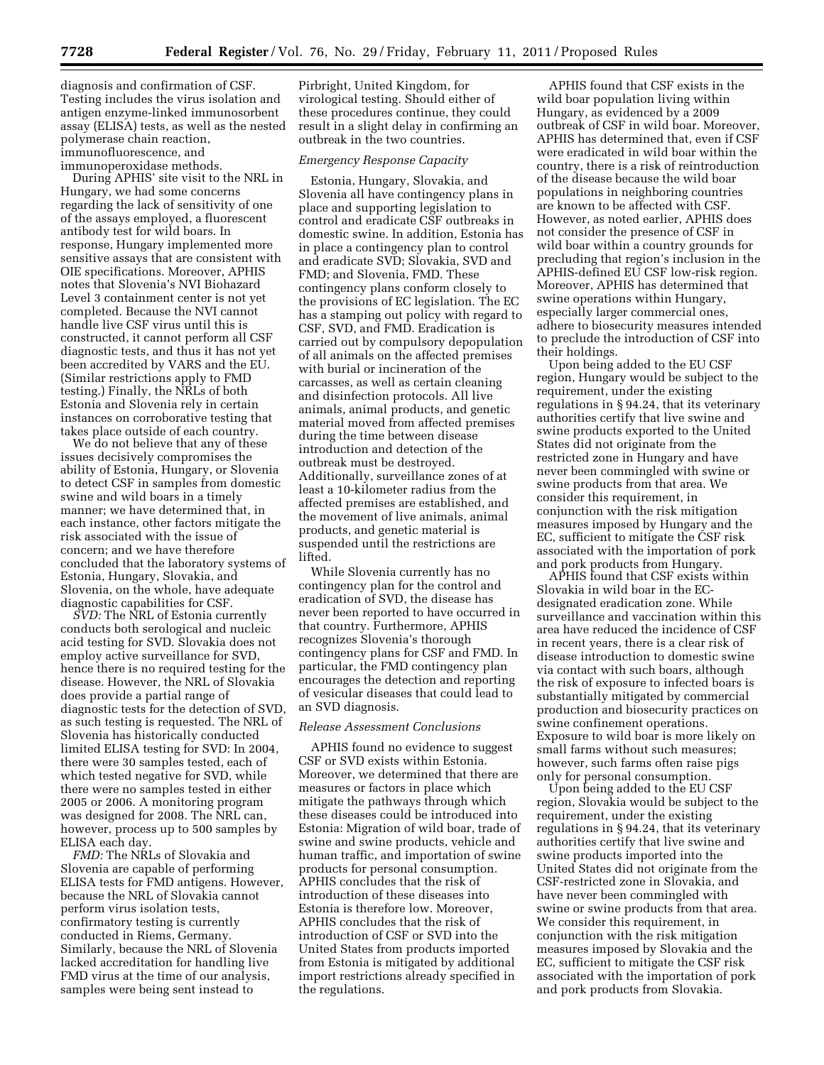diagnosis and confirmation of CSF. Testing includes the virus isolation and antigen enzyme-linked immunosorbent assay (ELISA) tests, as well as the nested polymerase chain reaction, immunofluorescence, and immunoperoxidase methods.

During APHIS' site visit to the NRL in Hungary, we had some concerns regarding the lack of sensitivity of one of the assays employed, a fluorescent antibody test for wild boars. In response, Hungary implemented more sensitive assays that are consistent with OIE specifications. Moreover, APHIS notes that Slovenia's NVI Biohazard Level 3 containment center is not yet completed. Because the NVI cannot handle live CSF virus until this is constructed, it cannot perform all CSF diagnostic tests, and thus it has not yet been accredited by VARS and the EU. (Similar restrictions apply to FMD testing.) Finally, the NRLs of both Estonia and Slovenia rely in certain instances on corroborative testing that takes place outside of each country.

We do not believe that any of these issues decisively compromises the ability of Estonia, Hungary, or Slovenia to detect CSF in samples from domestic swine and wild boars in a timely manner; we have determined that, in each instance, other factors mitigate the risk associated with the issue of concern; and we have therefore concluded that the laboratory systems of Estonia, Hungary, Slovakia, and Slovenia, on the whole, have adequate diagnostic capabilities for CSF.

*SVD:* The NRL of Estonia currently conducts both serological and nucleic acid testing for SVD. Slovakia does not employ active surveillance for SVD, hence there is no required testing for the disease. However, the NRL of Slovakia does provide a partial range of diagnostic tests for the detection of SVD, as such testing is requested. The NRL of Slovenia has historically conducted limited ELISA testing for SVD: In 2004, there were 30 samples tested, each of which tested negative for SVD, while there were no samples tested in either 2005 or 2006. A monitoring program was designed for 2008. The NRL can, however, process up to 500 samples by ELISA each day.

*FMD:* The NRLs of Slovakia and Slovenia are capable of performing ELISA tests for FMD antigens. However, because the NRL of Slovakia cannot perform virus isolation tests, confirmatory testing is currently conducted in Riems, Germany. Similarly, because the NRL of Slovenia lacked accreditation for handling live FMD virus at the time of our analysis, samples were being sent instead to

Pirbright, United Kingdom, for virological testing. Should either of these procedures continue, they could result in a slight delay in confirming an outbreak in the two countries.

#### *Emergency Response Capacity*

Estonia, Hungary, Slovakia, and Slovenia all have contingency plans in place and supporting legislation to control and eradicate CSF outbreaks in domestic swine. In addition, Estonia has in place a contingency plan to control and eradicate SVD; Slovakia, SVD and FMD; and Slovenia, FMD. These contingency plans conform closely to the provisions of EC legislation. The EC has a stamping out policy with regard to CSF, SVD, and FMD. Eradication is carried out by compulsory depopulation of all animals on the affected premises with burial or incineration of the carcasses, as well as certain cleaning and disinfection protocols. All live animals, animal products, and genetic material moved from affected premises during the time between disease introduction and detection of the outbreak must be destroyed. Additionally, surveillance zones of at least a 10-kilometer radius from the affected premises are established, and the movement of live animals, animal products, and genetic material is suspended until the restrictions are lifted.

While Slovenia currently has no contingency plan for the control and eradication of SVD, the disease has never been reported to have occurred in that country. Furthermore, APHIS recognizes Slovenia's thorough contingency plans for CSF and FMD. In particular, the FMD contingency plan encourages the detection and reporting of vesicular diseases that could lead to an SVD diagnosis.

#### *Release Assessment Conclusions*

APHIS found no evidence to suggest CSF or SVD exists within Estonia. Moreover, we determined that there are measures or factors in place which mitigate the pathways through which these diseases could be introduced into Estonia: Migration of wild boar, trade of swine and swine products, vehicle and human traffic, and importation of swine products for personal consumption. APHIS concludes that the risk of introduction of these diseases into Estonia is therefore low. Moreover, APHIS concludes that the risk of introduction of CSF or SVD into the United States from products imported from Estonia is mitigated by additional import restrictions already specified in the regulations.

APHIS found that CSF exists in the wild boar population living within Hungary, as evidenced by a 2009 outbreak of CSF in wild boar. Moreover, APHIS has determined that, even if CSF were eradicated in wild boar within the country, there is a risk of reintroduction of the disease because the wild boar populations in neighboring countries are known to be affected with CSF. However, as noted earlier, APHIS does not consider the presence of CSF in wild boar within a country grounds for precluding that region's inclusion in the APHIS-defined EU CSF low-risk region. Moreover, APHIS has determined that swine operations within Hungary, especially larger commercial ones, adhere to biosecurity measures intended to preclude the introduction of CSF into their holdings.

Upon being added to the EU CSF region, Hungary would be subject to the requirement, under the existing regulations in § 94.24, that its veterinary authorities certify that live swine and swine products exported to the United States did not originate from the restricted zone in Hungary and have never been commingled with swine or swine products from that area. We consider this requirement, in conjunction with the risk mitigation measures imposed by Hungary and the EC, sufficient to mitigate the CSF risk associated with the importation of pork and pork products from Hungary.

APHIS found that CSF exists within Slovakia in wild boar in the ECdesignated eradication zone. While surveillance and vaccination within this area have reduced the incidence of CSF in recent years, there is a clear risk of disease introduction to domestic swine via contact with such boars, although the risk of exposure to infected boars is substantially mitigated by commercial production and biosecurity practices on swine confinement operations. Exposure to wild boar is more likely on small farms without such measures; however, such farms often raise pigs only for personal consumption.

Upon being added to the EU CSF region, Slovakia would be subject to the requirement, under the existing regulations in § 94.24, that its veterinary authorities certify that live swine and swine products imported into the United States did not originate from the CSF-restricted zone in Slovakia, and have never been commingled with swine or swine products from that area. We consider this requirement, in conjunction with the risk mitigation measures imposed by Slovakia and the EC, sufficient to mitigate the CSF risk associated with the importation of pork and pork products from Slovakia.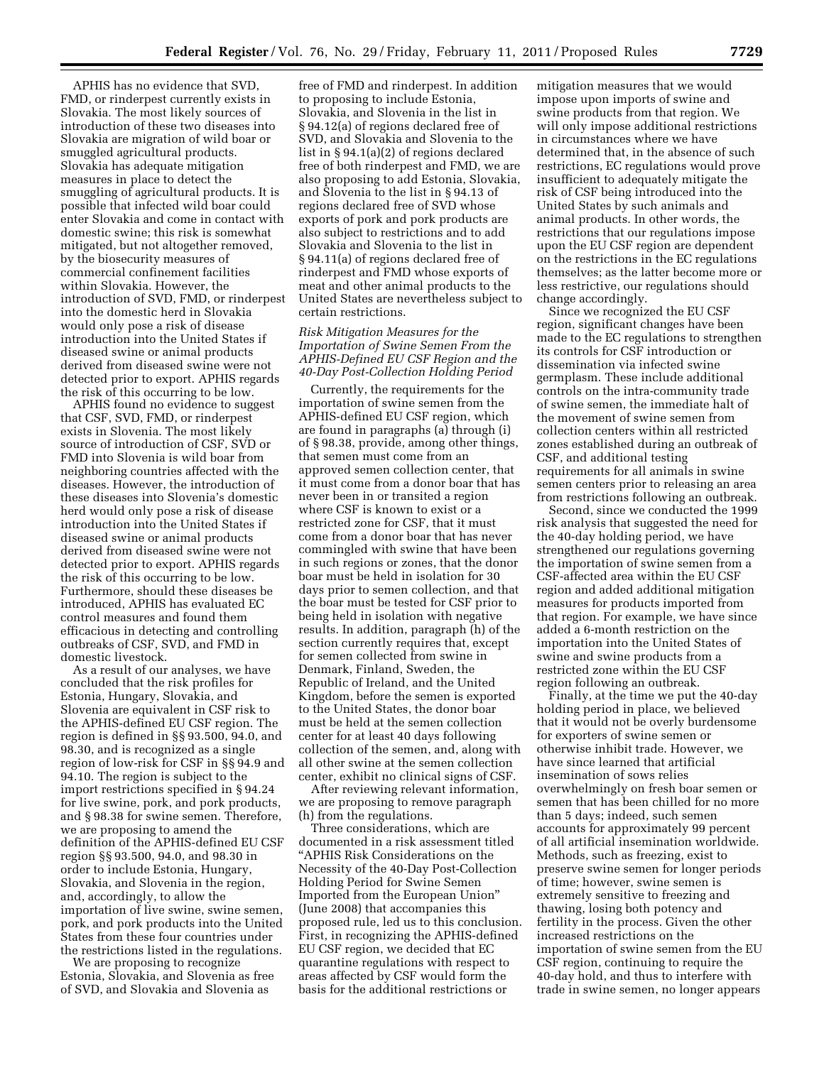APHIS has no evidence that SVD, FMD, or rinderpest currently exists in Slovakia. The most likely sources of introduction of these two diseases into Slovakia are migration of wild boar or smuggled agricultural products. Slovakia has adequate mitigation measures in place to detect the smuggling of agricultural products. It is possible that infected wild boar could enter Slovakia and come in contact with domestic swine; this risk is somewhat mitigated, but not altogether removed, by the biosecurity measures of commercial confinement facilities within Slovakia. However, the introduction of SVD, FMD, or rinderpest into the domestic herd in Slovakia would only pose a risk of disease introduction into the United States if diseased swine or animal products derived from diseased swine were not detected prior to export. APHIS regards the risk of this occurring to be low.

APHIS found no evidence to suggest that CSF, SVD, FMD, or rinderpest exists in Slovenia. The most likely source of introduction of CSF, SVD or FMD into Slovenia is wild boar from neighboring countries affected with the diseases. However, the introduction of these diseases into Slovenia's domestic herd would only pose a risk of disease introduction into the United States if diseased swine or animal products derived from diseased swine were not detected prior to export. APHIS regards the risk of this occurring to be low. Furthermore, should these diseases be introduced, APHIS has evaluated EC control measures and found them efficacious in detecting and controlling outbreaks of CSF, SVD, and FMD in domestic livestock.

As a result of our analyses, we have concluded that the risk profiles for Estonia, Hungary, Slovakia, and Slovenia are equivalent in CSF risk to the APHIS-defined EU CSF region. The region is defined in §§ 93.500, 94.0, and 98.30, and is recognized as a single region of low-risk for CSF in §§ 94.9 and 94.10. The region is subject to the import restrictions specified in § 94.24 for live swine, pork, and pork products, and § 98.38 for swine semen. Therefore, we are proposing to amend the definition of the APHIS-defined EU CSF region §§ 93.500, 94.0, and 98.30 in order to include Estonia, Hungary, Slovakia, and Slovenia in the region, and, accordingly, to allow the importation of live swine, swine semen, pork, and pork products into the United States from these four countries under the restrictions listed in the regulations.

We are proposing to recognize Estonia, Slovakia, and Slovenia as free of SVD, and Slovakia and Slovenia as

free of FMD and rinderpest. In addition to proposing to include Estonia, Slovakia, and Slovenia in the list in § 94.12(a) of regions declared free of SVD, and Slovakia and Slovenia to the list in § 94.1(a)(2) of regions declared free of both rinderpest and FMD, we are also proposing to add Estonia, Slovakia, and Slovenia to the list in § 94.13 of regions declared free of SVD whose exports of pork and pork products are also subject to restrictions and to add Slovakia and Slovenia to the list in § 94.11(a) of regions declared free of rinderpest and FMD whose exports of meat and other animal products to the United States are nevertheless subject to certain restrictions.

# *Risk Mitigation Measures for the Importation of Swine Semen From the APHIS-Defined EU CSF Region and the 40-Day Post-Collection Holding Period*

Currently, the requirements for the importation of swine semen from the APHIS-defined EU CSF region, which are found in paragraphs (a) through (i) of § 98.38, provide, among other things, that semen must come from an approved semen collection center, that it must come from a donor boar that has never been in or transited a region where CSF is known to exist or a restricted zone for CSF, that it must come from a donor boar that has never commingled with swine that have been in such regions or zones, that the donor boar must be held in isolation for 30 days prior to semen collection, and that the boar must be tested for CSF prior to being held in isolation with negative results. In addition, paragraph (h) of the section currently requires that, except for semen collected from swine in Denmark, Finland, Sweden, the Republic of Ireland, and the United Kingdom, before the semen is exported to the United States, the donor boar must be held at the semen collection center for at least 40 days following collection of the semen, and, along with all other swine at the semen collection center, exhibit no clinical signs of CSF.

After reviewing relevant information, we are proposing to remove paragraph (h) from the regulations.

Three considerations, which are documented in a risk assessment titled ''APHIS Risk Considerations on the Necessity of the 40-Day Post-Collection Holding Period for Swine Semen Imported from the European Union'' (June 2008) that accompanies this proposed rule, led us to this conclusion. First, in recognizing the APHIS-defined EU CSF region, we decided that EC quarantine regulations with respect to areas affected by CSF would form the basis for the additional restrictions or

mitigation measures that we would impose upon imports of swine and swine products from that region. We will only impose additional restrictions in circumstances where we have determined that, in the absence of such restrictions, EC regulations would prove insufficient to adequately mitigate the risk of CSF being introduced into the United States by such animals and animal products. In other words, the restrictions that our regulations impose upon the EU CSF region are dependent on the restrictions in the EC regulations themselves; as the latter become more or less restrictive, our regulations should change accordingly.

Since we recognized the EU CSF region, significant changes have been made to the EC regulations to strengthen its controls for CSF introduction or dissemination via infected swine germplasm. These include additional controls on the intra-community trade of swine semen, the immediate halt of the movement of swine semen from collection centers within all restricted zones established during an outbreak of CSF, and additional testing requirements for all animals in swine semen centers prior to releasing an area from restrictions following an outbreak.

Second, since we conducted the 1999 risk analysis that suggested the need for the 40-day holding period, we have strengthened our regulations governing the importation of swine semen from a CSF-affected area within the EU CSF region and added additional mitigation measures for products imported from that region. For example, we have since added a 6-month restriction on the importation into the United States of swine and swine products from a restricted zone within the EU CSF region following an outbreak.

Finally, at the time we put the 40-day holding period in place, we believed that it would not be overly burdensome for exporters of swine semen or otherwise inhibit trade. However, we have since learned that artificial insemination of sows relies overwhelmingly on fresh boar semen or semen that has been chilled for no more than 5 days; indeed, such semen accounts for approximately 99 percent of all artificial insemination worldwide. Methods, such as freezing, exist to preserve swine semen for longer periods of time; however, swine semen is extremely sensitive to freezing and thawing, losing both potency and fertility in the process. Given the other increased restrictions on the importation of swine semen from the EU CSF region, continuing to require the 40-day hold, and thus to interfere with trade in swine semen, no longer appears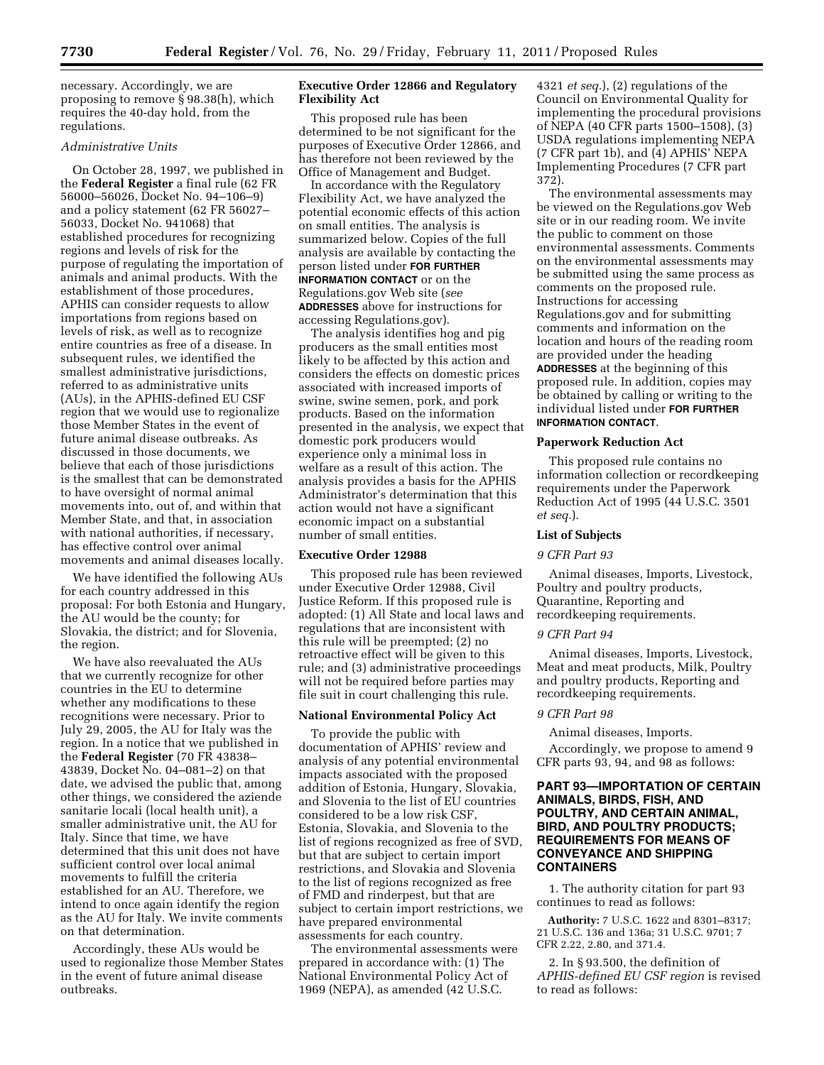necessary. Accordingly, we are proposing to remove § 98.38(h), which requires the 40-day hold, from the regulations.

# *Administrative Units*

On October 28, 1997, we published in the **Federal Register** a final rule (62 FR 56000–56026, Docket No. 94–106–9) and a policy statement (62 FR 56027– 56033, Docket No. 941068) that established procedures for recognizing regions and levels of risk for the purpose of regulating the importation of animals and animal products. With the establishment of those procedures, APHIS can consider requests to allow importations from regions based on levels of risk, as well as to recognize entire countries as free of a disease. In subsequent rules, we identified the smallest administrative jurisdictions, referred to as administrative units (AUs), in the APHIS-defined EU CSF region that we would use to regionalize those Member States in the event of future animal disease outbreaks. As discussed in those documents, we believe that each of those jurisdictions is the smallest that can be demonstrated to have oversight of normal animal movements into, out of, and within that Member State, and that, in association with national authorities, if necessary, has effective control over animal movements and animal diseases locally.

We have identified the following AUs for each country addressed in this proposal: For both Estonia and Hungary, the AU would be the county; for Slovakia, the district; and for Slovenia, the region.

We have also reevaluated the AUs that we currently recognize for other countries in the EU to determine whether any modifications to these recognitions were necessary. Prior to July 29, 2005, the AU for Italy was the region. In a notice that we published in the **Federal Register** (70 FR 43838– 43839, Docket No. 04–081–2) on that date, we advised the public that, among other things, we considered the aziende sanitarie locali (local health unit), a smaller administrative unit, the AU for Italy. Since that time, we have determined that this unit does not have sufficient control over local animal movements to fulfill the criteria established for an AU. Therefore, we intend to once again identify the region as the AU for Italy. We invite comments on that determination.

Accordingly, these AUs would be used to regionalize those Member States in the event of future animal disease outbreaks.

# **Executive Order 12866 and Regulatory Flexibility Act**

This proposed rule has been determined to be not significant for the purposes of Executive Order 12866, and has therefore not been reviewed by the Office of Management and Budget.

In accordance with the Regulatory Flexibility Act, we have analyzed the potential economic effects of this action on small entities. The analysis is summarized below. Copies of the full analysis are available by contacting the person listed under **FOR FURTHER INFORMATION CONTACT** or on the Regulations.gov Web site (*see*  **ADDRESSES** above for instructions for accessing Regulations.gov).

The analysis identifies hog and pig producers as the small entities most likely to be affected by this action and considers the effects on domestic prices associated with increased imports of swine, swine semen, pork, and pork products. Based on the information presented in the analysis, we expect that domestic pork producers would experience only a minimal loss in welfare as a result of this action. The analysis provides a basis for the APHIS Administrator's determination that this action would not have a significant economic impact on a substantial number of small entities.

## **Executive Order 12988**

This proposed rule has been reviewed under Executive Order 12988, Civil Justice Reform. If this proposed rule is adopted: (1) All State and local laws and regulations that are inconsistent with this rule will be preempted; (2) no retroactive effect will be given to this rule; and (3) administrative proceedings will not be required before parties may file suit in court challenging this rule.

#### **National Environmental Policy Act**

To provide the public with documentation of APHIS' review and analysis of any potential environmental impacts associated with the proposed addition of Estonia, Hungary, Slovakia, and Slovenia to the list of EU countries considered to be a low risk CSF, Estonia, Slovakia, and Slovenia to the list of regions recognized as free of SVD, but that are subject to certain import restrictions, and Slovakia and Slovenia to the list of regions recognized as free of FMD and rinderpest, but that are subject to certain import restrictions, we have prepared environmental assessments for each country.

The environmental assessments were prepared in accordance with: (1) The National Environmental Policy Act of 1969 (NEPA), as amended (42 U.S.C.

4321 *et seq.*), (2) regulations of the Council on Environmental Quality for implementing the procedural provisions of NEPA (40 CFR parts 1500–1508), (3) USDA regulations implementing NEPA (7 CFR part 1b), and (4) APHIS' NEPA Implementing Procedures (7 CFR part 372).

The environmental assessments may be viewed on the Regulations.gov Web site or in our reading room. We invite the public to comment on those environmental assessments. Comments on the environmental assessments may be submitted using the same process as comments on the proposed rule. Instructions for accessing Regulations.gov and for submitting comments and information on the location and hours of the reading room are provided under the heading **ADDRESSES** at the beginning of this proposed rule. In addition, copies may be obtained by calling or writing to the individual listed under **FOR FURTHER INFORMATION CONTACT**.

# **Paperwork Reduction Act**

This proposed rule contains no information collection or recordkeeping requirements under the Paperwork Reduction Act of 1995 (44 U.S.C. 3501 *et seq.*).

## **List of Subjects**

#### *9 CFR Part 93*

Animal diseases, Imports, Livestock, Poultry and poultry products, Quarantine, Reporting and recordkeeping requirements.

#### *9 CFR Part 94*

Animal diseases, Imports, Livestock, Meat and meat products, Milk, Poultry and poultry products, Reporting and recordkeeping requirements.

## *9 CFR Part 98*

Animal diseases, Imports.

Accordingly, we propose to amend 9 CFR parts 93, 94, and 98 as follows:

# **PART 93—IMPORTATION OF CERTAIN ANIMALS, BIRDS, FISH, AND POULTRY, AND CERTAIN ANIMAL, BIRD, AND POULTRY PRODUCTS; REQUIREMENTS FOR MEANS OF CONVEYANCE AND SHIPPING CONTAINERS**

1. The authority citation for part 93 continues to read as follows:

**Authority:** 7 U.S.C. 1622 and 8301–8317; 21 U.S.C. 136 and 136a; 31 U.S.C. 9701; 7 CFR 2.22, 2.80, and 371.4.

2. In § 93.500, the definition of *APHIS-defined EU CSF region* is revised to read as follows: